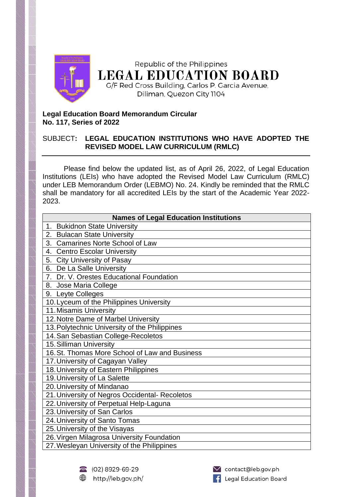

## **Legal Education Board Memorandum Circular No. 117, Series of 2022**

## SUBJECT**: LEGAL EDUCATION INSTITUTIONS WHO HAVE ADOPTED THE REVISED MODEL LAW CURRICULUM (RMLC)**

Please find below the updated list, as of April 26, 2022, of Legal Education Institutions (LEIs) who have adopted the Revised Model Law Curriculum (RMLC) under LEB Memorandum Order (LEBMO) No. 24. Kindly be reminded that the RMLC shall be mandatory for all accredited LEIs by the start of the Academic Year 2022- 2023.

| <b>Names of Legal Education Institutions</b>   |
|------------------------------------------------|
| <b>Bukidnon State University</b><br>1.         |
| <b>Bulacan State University</b><br>2.          |
| <b>Camarines Norte School of Law</b><br>3.     |
| <b>Centro Escolar University</b><br>4.         |
| <b>City University of Pasay</b><br>5.          |
| 6. De La Salle University                      |
| 7. Dr. V. Orestes Educational Foundation       |
| 8. Jose Maria College                          |
| 9. Leyte Colleges                              |
| 10. Lyceum of the Philippines University       |
| 11. Misamis University                         |
| 12. Notre Dame of Marbel University            |
| 13. Polytechnic University of the Philippines  |
| 14. San Sebastian College-Recoletos            |
| 15. Silliman University                        |
| 16. St. Thomas More School of Law and Business |
| 17. University of Cagayan Valley               |
| 18. University of Eastern Philippines          |
| 19. University of La Salette                   |
| 20. University of Mindanao                     |
| 21. University of Negros Occidental- Recoletos |
| 22. University of Perpetual Help-Laguna        |
| 23. University of San Carlos                   |
| 24. University of Santo Tomas                  |
| 25. University of the Visayas                  |
| 26. Virgen Milagrosa University Foundation     |
| 27. Wesleyan University of the Philippines     |